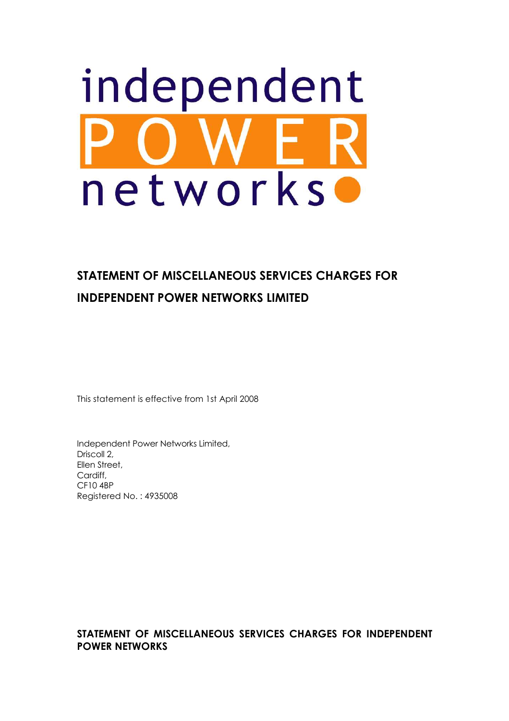# independent networks

# **STATEMENT OF MISCELLANEOUS SERVICES CHARGES FOR INDEPENDENT POWER NETWORKS LIMITED**

This statement is effective from 1st April 2008

Independent Power Networks Limited, Driscoll 2, Ellen Street, Cardiff, CF10 4BP Registered No. : 4935008

**STATEMENT OF MISCELLANEOUS SERVICES CHARGES FOR INDEPENDENT POWER NETWORKS**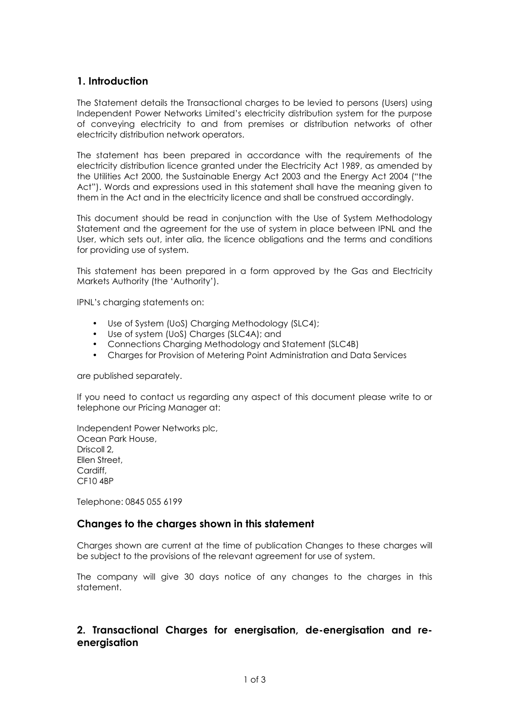#### **1. Introduction**

The Statement details the Transactional charges to be levied to persons (Users) using Independent Power Networks Limited's electricity distribution system for the purpose of conveying electricity to and from premises or distribution networks of other electricity distribution network operators.

The statement has been prepared in accordance with the requirements of the electricity distribution licence granted under the Electricity Act 1989, as amended by the Utilities Act 2000, the Sustainable Energy Act 2003 and the Energy Act 2004 ("the Act"). Words and expressions used in this statement shall have the meaning given to them in the Act and in the electricity licence and shall be construed accordingly.

This document should be read in conjunction with the Use of System Methodology Statement and the agreement for the use of system in place between IPNL and the User, which sets out, inter alia, the licence obligations and the terms and conditions for providing use of system.

This statement has been prepared in a form approved by the Gas and Electricity Markets Authority (the 'Authority').

IPNL's charging statements on:

- Use of System (UoS) Charging Methodology (SLC4);
- Use of system (UoS) Charges (SLC4A); and
- Connections Charging Methodology and Statement (SLC4B)
- Charges for Provision of Metering Point Administration and Data Services

are published separately.

If you need to contact us regarding any aspect of this document please write to or telephone our Pricing Manager at:

Independent Power Networks plc, Ocean Park House, Driscoll 2, Ellen Street, Cardiff, CF10 4BP

Telephone: 0845 055 6199

#### **Changes to the charges shown in this statement**

Charges shown are current at the time of publication Changes to these charges will be subject to the provisions of the relevant agreement for use of system.

The company will give 30 days notice of any changes to the charges in this statement.

#### **2. Transactional Charges for energisation, de-energisation and reenergisation**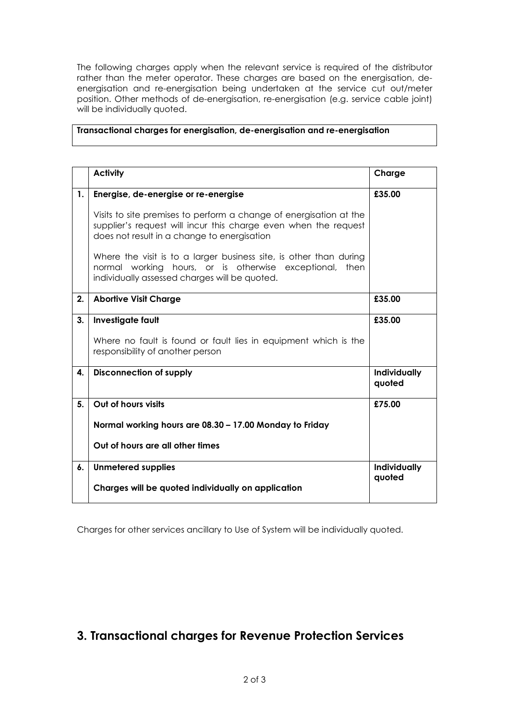The following charges apply when the relevant service is required of the distributor rather than the meter operator. These charges are based on the energisation, deenergisation and re-energisation being undertaken at the service cut out/meter position. Other methods of de-energisation, re-energisation (e.g. service cable joint) will be individually quoted.

#### **Transactional charges for energisation, de-energisation and re-energisation**

|    | <b>Activity</b>                                                                                                                                                                      | Charge                 |
|----|--------------------------------------------------------------------------------------------------------------------------------------------------------------------------------------|------------------------|
| 1. | Energise, de-energise or re-energise                                                                                                                                                 | £35.00                 |
|    | Visits to site premises to perform a change of energisation at the<br>supplier's request will incur this charge even when the request<br>does not result in a change to energisation |                        |
|    | Where the visit is to a larger business site, is other than during<br>normal working hours, or is otherwise exceptional, then<br>individually assessed charges will be quoted.       |                        |
| 2. | <b>Abortive Visit Charge</b>                                                                                                                                                         | £35.00                 |
| 3. | Investigate fault                                                                                                                                                                    | £35.00                 |
|    | Where no fault is found or fault lies in equipment which is the<br>responsibility of another person                                                                                  |                        |
| 4. | <b>Disconnection of supply</b>                                                                                                                                                       | Individually<br>quoted |
| 5. | Out of hours visits                                                                                                                                                                  | £75.00                 |
|    | Normal working hours are 08.30 - 17.00 Monday to Friday                                                                                                                              |                        |
|    | Out of hours are all other times                                                                                                                                                     |                        |
| 6. | <b>Unmetered supplies</b>                                                                                                                                                            | Individually           |
|    | Charges will be quoted individually on application                                                                                                                                   | quoted                 |

Charges for other services ancillary to Use of System will be individually quoted.

# **3. Transactional charges for Revenue Protection Services**